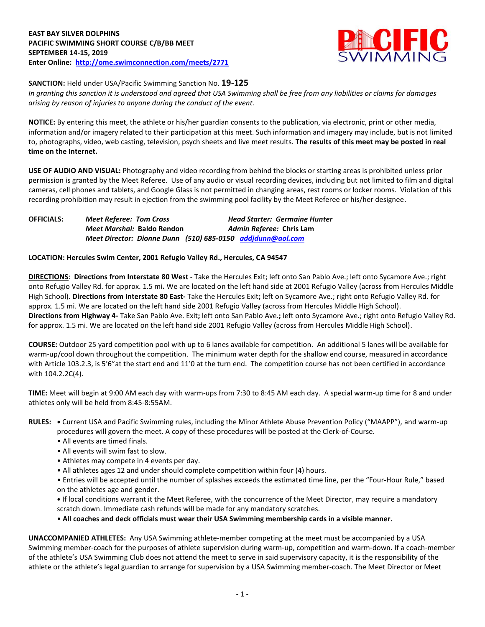

**SANCTION:** Held under USA/Pacific Swimming Sanction No. **19-125**

*In granting this sanction it is understood and agreed that USA Swimming shall be free from any liabilities or claims for damages arising by reason of injuries to anyone during the conduct of the event.*

**NOTICE:** By entering this meet, the athlete or his/her guardian consents to the publication, via electronic, print or other media, information and/or imagery related to their participation at this meet. Such information and imagery may include, but is not limited to, photographs, video, web casting, television, psych sheets and live meet results. **The results of this meet may be posted in real time on the Internet.**

**USE OF AUDIO AND VISUAL:** Photography and video recording from behind the blocks or starting areas is prohibited unless prior permission is granted by the Meet Referee. Use of any audio or visual recording devices, including but not limited to film and digital cameras, cell phones and tablets, and Google Glass is not permitted in changing areas, rest rooms or locker rooms. Violation of this recording prohibition may result in ejection from the swimming pool facility by the Meet Referee or his/her designee.

| <b>OFFICIALS:</b> | <b>Meet Referee: Tom Cross</b> | <b>Head Starter: Germaine Hunter</b>                       |
|-------------------|--------------------------------|------------------------------------------------------------|
|                   | Meet Marshal: Baldo Rendon     | Admin Referee: Chris Lam                                   |
|                   |                                | Meet Director: Dionne Dunn (510) 685-0150 addidunn@aol.com |

**LOCATION: Hercules Swim Center, 2001 Refugio Valley Rd., Hercules, CA 94547**

**DIRECTIONS**: **Directions from Interstate 80 West -** Take the Hercules Exit; left onto San Pablo Ave.; left onto Sycamore Ave.; right onto Refugio Valley Rd. for approx. 1.5 mi**.** We are located on the left hand side at 2001 Refugio Valley (across from Hercules Middle High School). **Directions from Interstate 80 East-** Take the Hercules Exit**;** left on Sycamore Ave.; right onto Refugio Valley Rd. for approx. 1.5 mi. We are located on the left hand side 2001 Refugio Valley (across from Hercules Middle High School). **Directions from Highway 4-** Take San Pablo Ave. Exit**;** left onto San Pablo Ave.**;** left onto Sycamore Ave.; right onto Refugio Valley Rd. for approx. 1.5 mi. We are located on the left hand side 2001 Refugio Valley (across from Hercules Middle High School).

**COURSE:** Outdoor 25 yard competition pool with up to 6 lanes available for competition.An additional 5 lanes will be available for warm-up/cool down throughout the competition. The minimum water depth for the shallow end course, measured in accordance with Article 103.2.3, is 5'6"at the start end and 11'0 at the turn end. The competition course has not been certified in accordance with 104.2.2C(4).

**TIME:** Meet will begin at 9:00 AM each day with warm-ups from 7:30 to 8:45 AM each day. A special warm-up time for 8 and under athletes only will be held from 8:45-8:55AM.

**RULES: •** Current USA and Pacific Swimming rules, including the Minor Athlete Abuse Prevention Policy ("MAAPP"), and warm-up procedures will govern the meet. A copy of these procedures will be posted at the Clerk-of-Course.

- All events are timed finals.
- All events will swim fast to slow.
- Athletes may compete in 4 events per day.
- All athletes ages 12 and under should complete competition within four (4) hours.

• Entries will be accepted until the number of splashes exceeds the estimated time line, per the "Four-Hour Rule," based on the athletes age and gender.

**•** If local conditions warrant it the Meet Referee, with the concurrence of the Meet Director, may require a mandatory scratch down. Immediate cash refunds will be made for any mandatory scratches.

• **All coaches and deck officials must wear their USA Swimming membership cards in a visible manner.** 

**UNACCOMPANIED ATHLETES:** Any USA Swimming athlete-member competing at the meet must be accompanied by a USA Swimming member-coach for the purposes of athlete supervision during warm-up, competition and warm-down. If a coach-member of the athlete's USA Swimming Club does not attend the meet to serve in said supervisory capacity, it is the responsibility of the athlete or the athlete's legal guardian to arrange for supervision by a USA Swimming member-coach. The Meet Director or Meet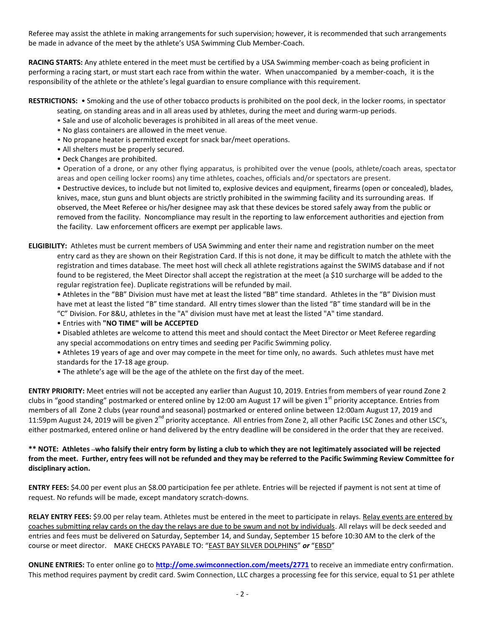Referee may assist the athlete in making arrangements for such supervision; however, it is recommended that such arrangements be made in advance of the meet by the athlete's USA Swimming Club Member-Coach.

**RACING STARTS:** Any athlete entered in the meet must be certified by a USA Swimming member-coach as being proficient in performing a racing start, or must start each race from within the water. When unaccompanied by a member-coach, it is the responsibility of the athlete or the athlete's legal guardian to ensure compliance with this requirement.

#### **RESTRICTIONS:** • Smoking and the use of other tobacco products is prohibited on the pool deck, in the locker rooms, in spectator seating, on standing areas and in all areas used by athletes, during the meet and during warm-up periods.

- Sale and use of alcoholic beverages is prohibited in all areas of the meet venue.
- No glass containers are allowed in the meet venue.
- No propane heater is permitted except for snack bar/meet operations.
- All shelters must be properly secured.
- Deck Changes are prohibited.

• Operation of a drone, or any other flying apparatus, is prohibited over the venue (pools, athlete/coach areas, spectator areas and open ceiling locker rooms) any time athletes, coaches, officials and/or spectators are present.

• Destructive devices, to include but not limited to, explosive devices and equipment, firearms (open or concealed), blades, knives, mace, stun guns and blunt objects are strictly prohibited in the swimming facility and its surrounding areas. If observed, the Meet Referee or his/her designee may ask that these devices be stored safely away from the public or removed from the facility. Noncompliance may result in the reporting to law enforcement authorities and ejection from the facility. Law enforcement officers are exempt per applicable laws.

**ELIGIBILITY:** Athletes must be current members of USA Swimming and enter their name and registration number on the meet entry card as they are shown on their Registration Card. If this is not done, it may be difficult to match the athlete with the registration and times database. The meet host will check all athlete registrations against the SWIMS database and if not found to be registered, the Meet Director shall accept the registration at the meet (a \$10 surcharge will be added to the regular registration fee). Duplicate registrations will be refunded by mail.

• Athletes in the "BB" Division must have met at least the listed "BB" time standard. Athletes in the "B" Division must have met at least the listed "B" time standard. All entry times slower than the listed "B" time standard will be in the "C" Division. For 8&U, athletes in the "A" division must have met at least the listed "A" time standard.

• Entries with **"NO TIME" will be ACCEPTED**

- Disabled athletes are welcome to attend this meet and should contact the Meet Director or Meet Referee regarding any special accommodations on entry times and seeding per Pacific Swimming policy.
- Athletes 19 years of age and over may compete in the meet for time only, no awards. Such athletes must have met standards for the 17-18 age group.
- The athlete's age will be the age of the athlete on the first day of the meet.

**ENTRY PRIORITY:** Meet entries will not be accepted any earlier than August 10, 2019. Entries from members of year round Zone 2 clubs in "good standing" postmarked or entered online by 12:00 am August 17 will be given 1<sup>st</sup> priority acceptance. Entries from members of all Zone 2 clubs (year round and seasonal) postmarked or entered online between 12:00am August 17, 2019 and 11:59pm August 24, 2019 will be given  $2^{nd}$  priority acceptance. All entries from Zone 2, all other Pacific LSC Zones and other LSC's, either postmarked, entered online or hand delivered by the entry deadline will be considered in the order that they are received.

# **\*\* NOTE: Athletes who falsify their entry form by listing a club to which they are not legitimately associated will be rejected from the meet. Further, entry fees will not be refunded and they may be referred to the Pacific Swimming Review Committee for disciplinary action.**

**ENTRY FEES:** \$4.00 per event plus an \$8.00 participation fee per athlete. Entries will be rejected if payment is not sent at time of request. No refunds will be made, except mandatory scratch-downs.

RELAY ENTRY FEES: \$9.00 per relay team. Athletes must be entered in the meet to participate in relays. Relay events are entered by coaches submitting relay cards on the day the relays are due to be swum and not by individuals. All relays will be deck seeded and entries and fees must be delivered on Saturday, September 14, and Sunday, September 15 before 10:30 AM to the clerk of the course or meet director. MAKE CHECKS PAYABLE TO: "EAST BAY SILVER DOLPHINS" *or* "EBSD"

**ONLINE ENTRIES:** To enter online go to **<http://ome.swimconnection.com/meets/2771>** to receive an immediate entry confirmation. This method requires payment by credit card. Swim Connection, LLC charges a processing fee for this service, equal to \$1 per athlete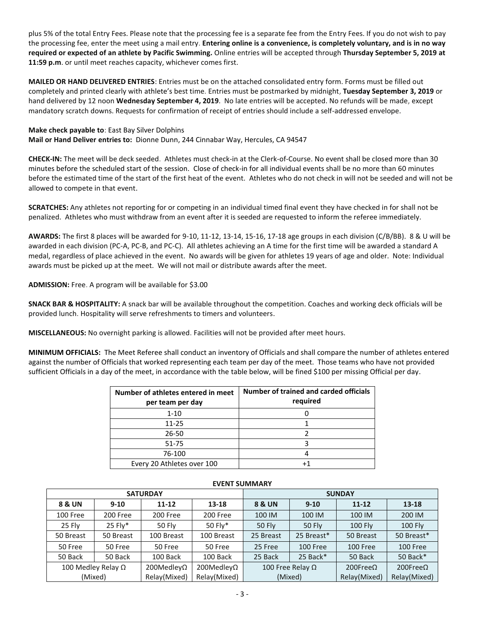plus 5% of the total Entry Fees. Please note that the processing fee is a separate fee from the Entry Fees. If you do not wish to pay the processing fee, enter the meet using a mail entry. **Entering online is a convenience, is completely voluntary, and is in no way required or expected of an athlete by Pacific Swimming.** Online entries will be accepted through **Thursday September 5, 2019 at 11:59 p.m**. or until meet reaches capacity, whichever comes first.

**MAILED OR HAND DELIVERED ENTRIES**: Entries must be on the attached consolidated entry form. Forms must be filled out completely and printed clearly with athlete's best time. Entries must be postmarked by midnight, **Tuesday September 3, 2019** or hand delivered by 12 noon **Wednesday September 4, 2019**. No late entries will be accepted. No refunds will be made, except mandatory scratch downs. Requests for confirmation of receipt of entries should include a self-addressed envelope.

**Make check payable to**: East Bay Silver Dolphins **Mail or Hand Deliver entries to:** Dionne Dunn, 244 Cinnabar Way, Hercules, CA 94547

**CHECK-IN:** The meet will be deck seeded. Athletes must check-in at the Clerk-of-Course. No event shall be closed more than 30 minutes before the scheduled start of the session. Close of check-in for all individual events shall be no more than 60 minutes before the estimated time of the start of the first heat of the event. Athletes who do not check in will not be seeded and will not be allowed to compete in that event.

**SCRATCHES:** Any athletes not reporting for or competing in an individual timed final event they have checked in for shall not be penalized. Athletes who must withdraw from an event after it is seeded are requested to inform the referee immediately.

**AWARDS:** The first 8 places will be awarded for 9-10, 11-12, 13-14, 15-16, 17-18 age groups in each division (C/B/BB). 8 & U will be awarded in each division (PC-A, PC-B, and PC-C). All athletes achieving an A time for the first time will be awarded a standard A medal, regardless of place achieved in the event. No awards will be given for athletes 19 years of age and older. Note: Individual awards must be picked up at the meet. We will not mail or distribute awards after the meet.

## **ADMISSION:** Free. A program will be available for \$3.00

**SNACK BAR & HOSPITALITY:** A snack bar will be available throughout the competition. Coaches and working deck officials will be provided lunch. Hospitality will serve refreshments to timers and volunteers.

**MISCELLANEOUS:** No overnight parking is allowed. Facilities will not be provided after meet hours.

**MINIMUM OFFICIALS:** The Meet Referee shall conduct an inventory of Officials and shall compare the number of athletes entered against the number of Officials that worked representing each team per day of the meet. Those teams who have not provided sufficient Officials in a day of the meet, in accordance with the table below, will be fined \$100 per missing Official per day.

| Number of athletes entered in meet<br>per team per day | Number of trained and carded officials<br>required |  |  |  |  |  |  |
|--------------------------------------------------------|----------------------------------------------------|--|--|--|--|--|--|
| $1 - 10$                                               |                                                    |  |  |  |  |  |  |
| 11-25                                                  |                                                    |  |  |  |  |  |  |
| 26-50                                                  |                                                    |  |  |  |  |  |  |
| $51 - 75$                                              |                                                    |  |  |  |  |  |  |
| 76-100                                                 |                                                    |  |  |  |  |  |  |
| Every 20 Athletes over 100                             |                                                    |  |  |  |  |  |  |

|                           |           | <b>SATURDAY</b>       |                    | <b>SUNDAY</b>           |               |                     |                     |  |  |  |
|---------------------------|-----------|-----------------------|--------------------|-------------------------|---------------|---------------------|---------------------|--|--|--|
| 8 & UN                    | $9-10$    | $11 - 12$             | 13-18              | <b>8 &amp; UN</b>       | $9 - 10$      |                     | $13 - 18$           |  |  |  |
| 100 Free                  | 200 Free  | 200 Free              | 200 Free           | 100 IM                  | 100 IM        | 100 IM              | 200 IM              |  |  |  |
| 25 Fly                    | 25 Fly*   | <b>50 Fly</b>         | 50 Fly*            | <b>50 Fly</b>           | <b>50 Fly</b> | <b>100 Fly</b>      | <b>100 Fly</b>      |  |  |  |
| 50 Breast                 | 50 Breast | 100 Breast            | 100 Breast         | 25 Breast               | 25 Breast*    | 50 Breast           | 50 Breast*          |  |  |  |
| 50 Free                   | 50 Free   | 50 Free               | 50 Free            | 25 Free                 | 100 Free      |                     | 100 Free            |  |  |  |
| 50 Back                   | 50 Back   | 100 Back              | 100 Back           | 25 Back                 | 25 Back*      | 50 Back             | 50 Back*            |  |  |  |
| 100 Medley Relay $\Omega$ |           | $200$ Medley $\Omega$ | 200Medley $\Omega$ | 100 Free Relay $\Omega$ |               | $200$ Free $\Omega$ | $200$ Free $\Omega$ |  |  |  |
| (Mixed)                   |           | Relay(Mixed)          | Relay(Mixed)       | (Mixed)                 |               | Relay(Mixed)        | Relay(Mixed)        |  |  |  |

## **EVENT SUMMARY**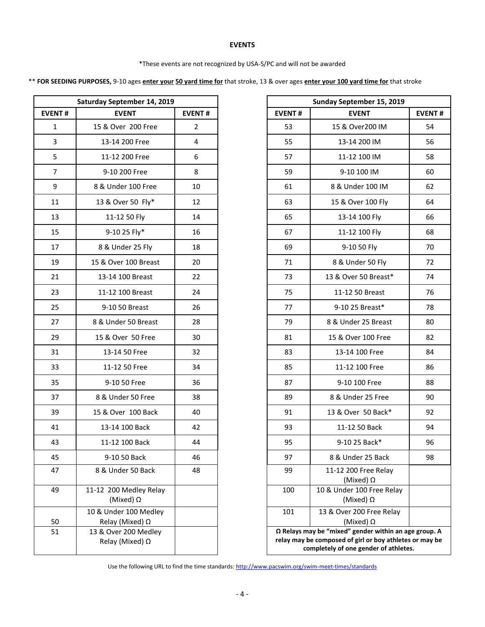## **EVENTS**

#### \*These events are not recognized by USA-S/PC and will not be awarded

\*\* **FOR SEEDING PURPOSES,** 9-10 ages **enter your 50 yard time for** that stroke, 13 & over ages **enter your 100 yard time for** that stroke

|               | Saturday September 14, 2019                     |                | Sunday September 15, 2019                                                                                                           |                                               |  |  |
|---------------|-------------------------------------------------|----------------|-------------------------------------------------------------------------------------------------------------------------------------|-----------------------------------------------|--|--|
| <b>EVENT#</b> | <b>EVENT</b>                                    | <b>EVENT#</b>  | <b>EVENT#</b>                                                                                                                       | <b>EVENT</b>                                  |  |  |
|               | 15 & Over 200 Free                              | $\overline{2}$ | 53                                                                                                                                  | 15 & Over200 IM                               |  |  |
|               | 13-14 200 Free                                  | $\overline{4}$ | 55                                                                                                                                  | 13-14 200 IM                                  |  |  |
|               | 11-12 200 Free                                  | 6              | 57                                                                                                                                  | 11-12 100 IM                                  |  |  |
|               | 9-10 200 Free                                   | 8              | 59                                                                                                                                  | 9-10 100 IM                                   |  |  |
|               | 8 & Under 100 Free                              | 10             | 61                                                                                                                                  | 8 & Under 100 IM                              |  |  |
|               | 13 & Over 50 Fly*                               | 12             | 63                                                                                                                                  | 15 & Over 100 Fly                             |  |  |
|               | 11-12 50 Fly                                    | 14             | 65                                                                                                                                  | 13-14 100 Fly                                 |  |  |
|               | 9-10 25 Fly*                                    | 16             | 67                                                                                                                                  | 11-12 100 Fly                                 |  |  |
|               | 8 & Under 25 Fly                                | 18             | 69                                                                                                                                  | 9-10 50 Fly                                   |  |  |
|               | 15 & Over 100 Breast                            | 20             | 71                                                                                                                                  | 8 & Under 50 Fly                              |  |  |
|               | 13-14 100 Breast                                | 22             | 73                                                                                                                                  | 13 & Over 50 Breast*                          |  |  |
|               | 11-12 100 Breast                                | 24             | 75                                                                                                                                  | 11-12 50 Breast                               |  |  |
|               | 9-10 50 Breast                                  | 26             | 77                                                                                                                                  | 9-10 25 Breast*                               |  |  |
|               | 8 & Under 50 Breast                             | 28             | 79                                                                                                                                  | 8 & Under 25 Breast                           |  |  |
|               | 15 & Over 50 Free                               | 30             | 81                                                                                                                                  | 15 & Over 100 Free                            |  |  |
|               | 13-14 50 Free                                   | 32             | 83                                                                                                                                  | 13-14 100 Free                                |  |  |
|               | 11-12 50 Free                                   | 34             | 85                                                                                                                                  | 11-12 100 Free                                |  |  |
|               | 9-10 50 Free                                    | 36             | 87                                                                                                                                  | 9-10 100 Free                                 |  |  |
|               | 8 & Under 50 Free                               | 38             | 89                                                                                                                                  | 8 & Under 25 Free                             |  |  |
|               | 15 & Over 100 Back                              | 40             | 91                                                                                                                                  | 13 & Over 50 Back*                            |  |  |
|               | 13-14 100 Back                                  | 42             | 93                                                                                                                                  | 11-12 50 Back                                 |  |  |
|               | 11-12 100 Back                                  | 44             | 95                                                                                                                                  | 9-10 25 Back*                                 |  |  |
|               | 9-10 50 Back                                    | 46             | 97                                                                                                                                  | 8 & Under 25 Back                             |  |  |
|               | 8 & Under 50 Back                               | 48             | 99                                                                                                                                  | 11-12 200 Free Relay<br>(Mixed) $\Omega$      |  |  |
|               | 11-12 200 Medley Relay<br>(Mixed) $\Omega$      |                | 100                                                                                                                                 | 10 & Under 100 Free Relay<br>(Mixed) $\Omega$ |  |  |
|               | 10 & Under 100 Medley<br>Relay (Mixed) $\Omega$ |                | 101                                                                                                                                 | 13 & Over 200 Free Relay<br>(Mixed) $\Omega$  |  |  |
|               | 13 & Over 200 Medley<br>Relay (Mixed) Ω         |                | $\Omega$ Relays may be "mixed" gender within an<br>relay may be composed of girl or boy athlet<br>completely of one gender of athle |                                               |  |  |

|                | Saturday September 14, 2019                |                |  |
|----------------|--------------------------------------------|----------------|--|
| <b>EVENT#</b>  | <b>EVENT</b>                               | <b>EVENT#</b>  |  |
| $\mathbf{1}$   | 15 & Over 200 Free                         | $\overline{2}$ |  |
| $\overline{3}$ | 13-14 200 Free                             | 4              |  |
| 5              | 11-12 200 Free                             | 6              |  |
| $\overline{7}$ | 9-10 200 Free                              | 8              |  |
| $9\,$          | 8 & Under 100 Free                         | 10             |  |
| 11             | 13 & Over 50 Fly*                          | 12             |  |
| 13             | 11-12 50 Fly                               | 14             |  |
| 15             | 9-10 25 Fly*                               | 16             |  |
| 17             | 8 & Under 25 Fly                           | 18             |  |
| 19             | 15 & Over 100 Breast                       | 20             |  |
| 21             | 13-14 100 Breast                           | 22             |  |
| 23             | 11-12 100 Breast                           | 24             |  |
| 25             | 9-10 50 Breast                             | 26             |  |
| 27             | 8 & Under 50 Breast                        | 28             |  |
| 29             | 15 & Over 50 Free                          | 30             |  |
| 31             | 13-14 50 Free                              | 32             |  |
|                |                                            | 34             |  |
| 33             | 11-12 50 Free                              |                |  |
| 35             | 9-10 50 Free                               | 36             |  |
| 37             | 8 & Under 50 Free                          | 38             |  |
| 39             | 15 & Over 100 Back                         | 40             |  |
| 41             | 13-14 100 Back                             | 42             |  |
| 43             | 11-12 100 Back                             | 44             |  |
| 45             | 9-10 50 Back                               | 46             |  |
| 47             | 8 & Under 50 Back                          | 48             |  |
| 49             | 11-12 200 Medley Relay<br>(Mixed) $\Omega$ |                |  |
| 50             | 10 & Under 100 Medley<br>Relay (Mixed) Ω   |                |  |
| 51             | 13 & Over 200 Medley<br>Relay (Mixed) Ω    |                |  |

Use the following URL to find the time standards: <http://www.pacswim.org/swim-meet-times/standards>